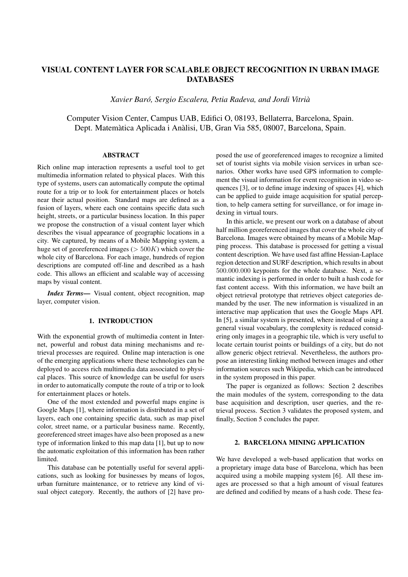# VISUAL CONTENT LAYER FOR SCALABLE OBJECT RECOGNITION IN URBAN IMAGE **DATABASES**

*Xavier Baro, Sergio Escalera, Petia Radeva, and Jordi Vitri ´ a`*

Computer Vision Center, Campus UAB, Edifici O, 08193, Bellaterra, Barcelona, Spain. Dept. Matemàtica Aplicada i Anàlisi, UB, Gran Via 585, 08007, Barcelona, Spain.

## ABSTRACT

Rich online map interaction represents a useful tool to get multimedia information related to physical places. With this type of systems, users can automatically compute the optimal route for a trip or to look for entertainment places or hotels near their actual position. Standard maps are defined as a fusion of layers, where each one contains specific data such height, streets, or a particular business location. In this paper we propose the construction of a visual content layer which describes the visual appearance of geographic locations in a city. We captured, by means of a Mobile Mapping system, a huge set of georeferenced images ( $> 500K$ ) which cover the whole city of Barcelona. For each image, hundreds of region descriptions are computed off-line and described as a hash code. This allows an efficient and scalable way of accessing maps by visual content.

*Index Terms*— Visual content, object recognition, map layer, computer vision.

# 1. INTRODUCTION

With the exponential growth of multimedia content in Internet, powerful and robust data mining mechanisms and retrieval processes are required. Online map interaction is one of the emerging applications where these technologies can be deployed to access rich multimedia data associated to physical places. This source of knowledge can be useful for users in order to automatically compute the route of a trip or to look for entertainment places or hotels.

One of the most extended and powerful maps engine is Google Maps [1], where information is distributed in a set of layers, each one containing specific data, such as map pixel color, street name, or a particular business name. Recently, georeferenced street images have also been proposed as a new type of information linked to this map data [1], but up to now the automatic exploitation of this information has been rather limited.

This database can be potentially useful for several applications, such as looking for businesses by means of logos, urban furniture maintenance, or to retrieve any kind of visual object category. Recently, the authors of [2] have proposed the use of georeferenced images to recognize a limited set of tourist sights via mobile vision services in urban scenarios. Other works have used GPS information to complement the visual information for event recognition in video sequences [3], or to define image indexing of spaces [4], which can be applied to guide image acquisition for spatial perception, to help camera setting for surveillance, or for image indexing in virtual tours.

In this article, we present our work on a database of about half million georeferenced images that cover the whole city of Barcelona. Images were obtained by means of a Mobile Mapping process. This database is processed for getting a visual content description. We have used fast affine Hessian-Laplace region detection and SURF description, which results in about 500.000.000 keypoints for the whole database. Next, a semantic indexing is performed in order to built a hash code for fast content access. With this information, we have built an object retrieval prototype that retrieves object categories demanded by the user. The new information is visualized in an interactive map application that uses the Google Maps API. In [5], a similar system is presented, where instead of using a general visual vocabulary, the complexity is reduced considering only images in a geographic tile, which is very useful to locate certain tourist points or buildings of a city, but do not allow generic object retrieval. Nevertheless, the authors propose an interesting linking method between images and other information sources such Wikipedia, which can be introduced in the system proposed in this paper.

The paper is organized as follows: Section 2 describes the main modules of the system, corresponding to the data base acquisition and description, user queries, and the retrieval process. Section 3 validates the proposed system, and finally, Section 5 concludes the paper.

# 2. BARCELONA MINING APPLICATION

We have developed a web-based application that works on a proprietary image data base of Barcelona, which has been acquired using a mobile mapping system [6]. All these images are processed so that a high amount of visual features are defined and codified by means of a hash code. These fea-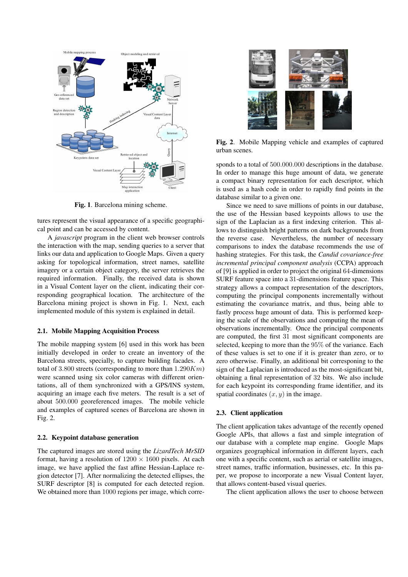

Fig. 1. Barcelona mining scheme.

tures represent the visual appearance of a specific geographical point and can be accessed by content.

A *javascript* program in the client web browser controls the interaction with the map, sending queries to a server that links our data and application to Google Maps. Given a query asking for topological information, street names, satellite imagery or a certain object category, the server retrieves the required information. Finally, the received data is shown in a Visual Content layer on the client, indicating their corresponding geographical location. The architecture of the Barcelona mining project is shown in Fig. 1. Next, each implemented module of this system is explained in detail.

## 2.1. Mobile Mapping Acquisition Process

The mobile mapping system [6] used in this work has been initially developed in order to create an inventory of the Barcelona streets, specially, to capture building facades. A total of 3.800 streets (corresponding to more than  $1.290Km$ ) were scanned using six color cameras with different orientations, all of them synchronized with a GPS/INS system, acquiring an image each five meters. The result is a set of about 500.000 georeferenced images. The mobile vehicle and examples of captured scenes of Barcelona are shown in Fig. 2.

#### 2.2. Keypoint database generation

The captured images are stored using the *LizardTech MrSID* format, having a resolution of  $1200 \times 1600$  pixels. At each image, we have applied the fast affine Hessian-Laplace region detector [7]. After normalizing the detected ellipses, the SURF descriptor [8] is computed for each detected region. We obtained more than 1000 regions per image, which corre-



Fig. 2. Mobile Mapping vehicle and examples of captured urban scenes.

sponds to a total of 500.000.000 descriptions in the database. In order to manage this huge amount of data, we generate a compact binary representation for each descriptor, which is used as a hash code in order to rapidly find points in the database similar to a given one.

Since we need to save millions of points in our database, the use of the Hessian based keypoints allows to use the sign of the Laplacian as a first indexing criterion. This allows to distinguish bright patterns on dark backgrounds from the reverse case. Nevertheless, the number of necessary comparisons to index the database recommends the use of hashing strategies. For this task, the *Candid covariance-free incremental principal component analysis* (CCPA) approach of [9] is applied in order to project the original 64-dimensions SURF feature space into a 31-dimensions feature space. This strategy allows a compact representation of the descriptors, computing the principal components incrementally without estimating the covariance matrix, and thus, being able to fastly process huge amount of data. This is performed keeping the scale of the observations and computing the mean of observations incrementally. Once the principal components are computed, the first 31 most significant components are selected, keeping to more than the 95% of the variance. Each of these values is set to one if it is greater than zero, or to zero otherwise. Finally, an additional bit corresponing to the sign of the Laplacian is introduced as the most-significant bit, obtaining a final representation of 32 bits. We also include for each keypoint its corresponding frame identifier, and its spatial coordinates  $(x, y)$  in the image.

#### 2.3. Client application

The client application takes advantage of the recently opened Google APIs, that allows a fast and simple integration of our database with a complete map engine. Google Maps organizes geographical information in different layers, each one with a specific content, such as aerial or satellite images, street names, traffic information, businesses, etc. In this paper, we propose to incorporate a new Visual Content layer, that allows content-based visual queries.

The client application allows the user to choose between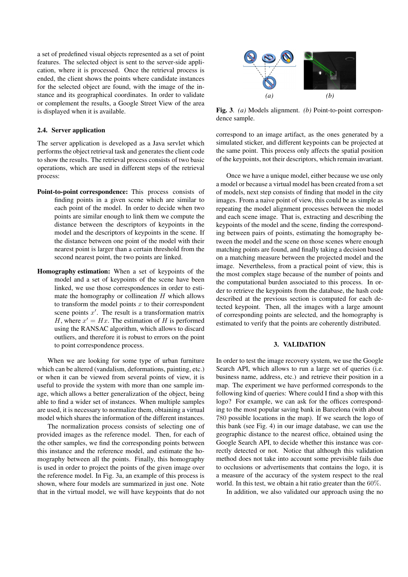a set of predefined visual objects represented as a set of point features. The selected object is sent to the server-side application, where it is processed. Once the retrieval process is ended, the client shows the points where candidate instances for the selected object are found, with the image of the instance and its geographical coordinates. In order to validate or complement the results, a Google Street View of the area is displayed when it is available.

## 2.4. Server application

The server application is developed as a Java servlet which performs the object retrieval task and generates the client code to show the results. The retrieval process consists of two basic operations, which are used in different steps of the retrieval process:

- Point-to-point correspondence: This process consists of finding points in a given scene which are similar to each point of the model. In order to decide when two points are similar enough to link them we compute the distance between the descriptors of keypoints in the model and the descriptors of keypoints in the scene. If the distance between one point of the model with their nearest point is larger than a certain threshold from the second nearest point, the two points are linked.
- Homography estimation: When a set of keypoints of the model and a set of keypoints of the scene have been linked, we use those correspondences in order to estimate the homography or collineation  $H$  which allows to transform the model points  $x$  to their correspondent scene points  $x'$ . The result is a transformation matrix H, where  $x' = Hx$ . The estimation of H is performed using the RANSAC algorithm, which allows to discard outliers, and therefore it is robust to errors on the point to point correspondence process.

When we are looking for some type of urban furniture which can be altered (vandalism, deformations, painting, etc.) or when it can be viewed from several points of view, it is useful to provide the system with more than one sample image, which allows a better generalization of the object, being able to find a wider set of instances. When multiple samples are used, it is necessary to normalize them, obtaining a virtual model which shares the information of the different instances.

The normalization process consists of selecting one of provided images as the reference model. Then, for each of the other samples, we find the corresponding points between this instance and the reference model, and estimate the homography between all the points. Finally, this homography is used in order to project the points of the given image over the reference model. In Fig. 3a, an example of this process is shown, where four models are summarized in just one. Note that in the virtual model, we will have keypoints that do not



Fig. 3. *(a)* Models alignment. *(b)* Point-to-point correspondence sample.

correspond to an image artifact, as the ones generated by a simulated sticker, and different keypoints can be projected at the same point. This process only affects the spatial position of the keypoints, not their descriptors, which remain invariant.

Once we have a unique model, either because we use only a model or because a virtual model has been created from a set of models, next step consists of finding that model in the city images. From a naive point of view, this could be as simple as repeating the model alignment processes between the model and each scene image. That is, extracting and describing the keypoints of the model and the scene, finding the corresponding between pairs of points, estimating the homography between the model and the scene on those scenes where enough matching points are found, and finally taking a decision based on a matching measure between the projected model and the image. Nevertheless, from a practical point of view, this is the most complex stage because of the number of points and the computational burden associated to this process. In order to retrieve the keypoints from the database, the hash code described at the previous section is computed for each detected keypoint. Then, all the images with a large amount of corresponding points are selected, and the homography is estimated to verify that the points are coherently distributed.

### 3. VALIDATION

In order to test the image recovery system, we use the Google Search API, which allows to run a large set of queries (i.e. business name, address, etc.) and retrieve their position in a map. The experiment we have performed corresponds to the following kind of queries: Where could I find a shop with this logo? For example, we can ask for the offices corresponding to the most popular saving bank in Barcelona (with about 780 possible locations in the map). If we search the logo of this bank (see Fig. 4) in our image database, we can use the geographic distance to the nearest office, obtained using the Google Search API, to decide whether this instance was correctly detected or not. Notice that although this validation method does not take into account some previsible fails due to occlusions or advertisements that contains the logo, it is a measure of the accuracy of the system respect to the real world. In this test, we obtain a hit ratio greater than the 60%.

In addition, we also validated our approach using the no